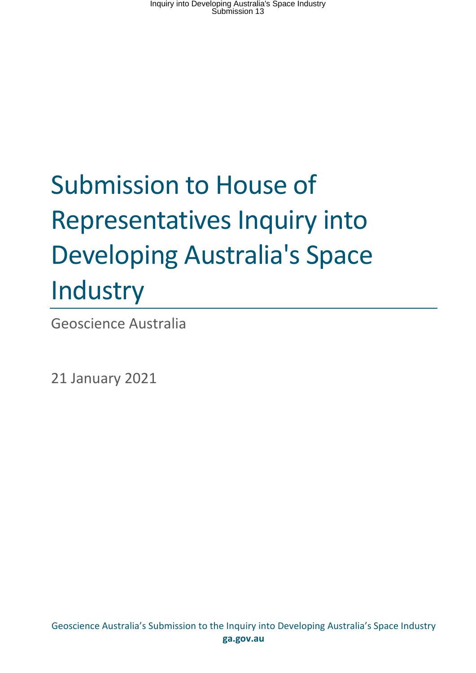# Submission to House of Representatives Inquiry into Developing Australia's Space **Industry**

Geoscience Australia

21 January 2021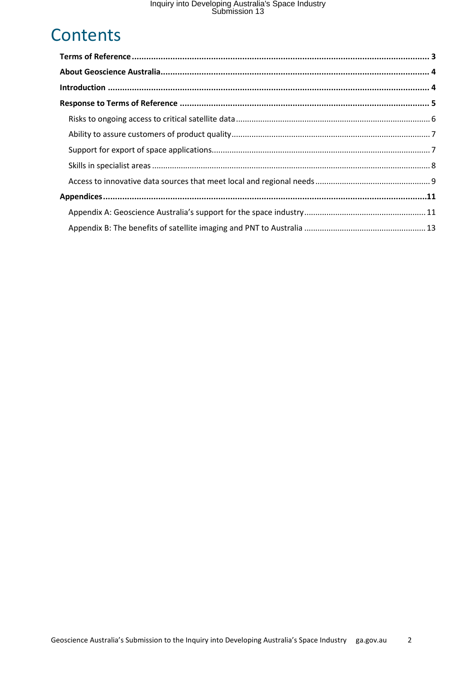## **Contents**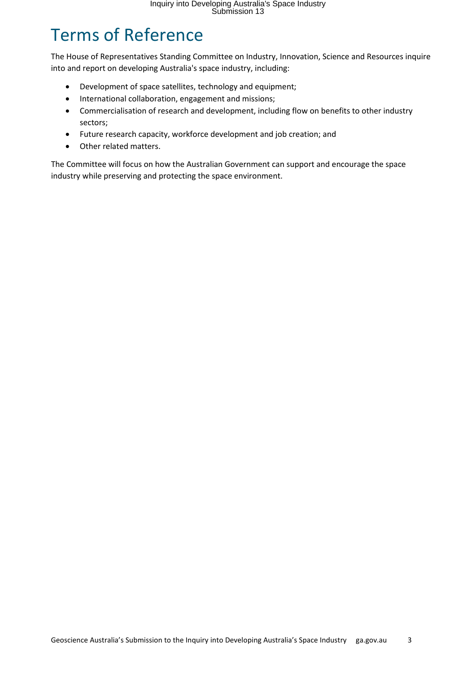# Terms of Reference

The House of Representatives Standing Committee on Industry, Innovation, Science and Resources inquire into and report on developing Australia's space industry, including:

- Development of space satellites, technology and equipment;
- International collaboration, engagement and missions;
- Commercialisation of research and development, including flow on benefits to other industry sectors;
- Future research capacity, workforce development and job creation; and
- Other related matters.

The Committee will focus on how the Australian Government can support and encourage the space industry while preserving and protecting the space environment.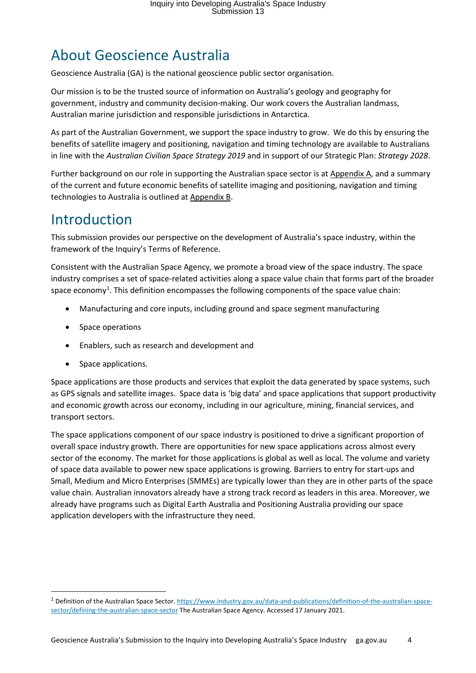## <span id="page-3-0"></span>About Geoscience Australia

Geoscience Australia (GA) is the national geoscience public sector organisation. 

Our mission is to be the trusted source of information on Australia's geology and geography for government, industry and community decision-making. Our work covers the Australian landmass, Australian marine jurisdiction and responsible jurisdictions in Antarctica. 

As part of the Australian Government, we support the space industry to grow.  We do this by ensuring the benefits of satellite imagery and positioning, navigation and timing technology are available to Australians in line with the *Australian Civilian Space Strategy 2019* and in support of our Strategic Plan: *Strategy 2028*.

Further background on our role in supporting the Australian space sector is at Appendix A, and a summary of the current and future economic benefits of satellite imaging and positioning, navigation and timing technologies to Australia is outlined at Appendix B.

## <span id="page-3-1"></span>Introduction

This submission provides our perspective on the development of Australia's space industry, within the framework of the Inquiry's Terms of Reference.

Consistent with the Australian Space Agency, we promote a broad view of the space industry. The space industry comprises a set of space-related activities along a space value chain that forms part of the broader space economy<sup>[1](#page-3-2)</sup>. This definition encompasses the following components of the space value chain:

- Manufacturing and core inputs, including ground and space segment manufacturing
- Space operations
- Enablers, such as research and development and
- Space applications.

Space applications are those products and services that exploit the data generated by space systems, such as GPS signals and satellite images.  Space data is 'big data' and space applications that support productivity and economic growth across our economy, including in our agriculture, mining, financial services, and transport sectors.

The space applications component of our space industry is positioned to drive a significant proportion of overall space industry growth. There are opportunities for new space applications across almost every sector of the economy. The market for those applications is global as well as local. The volume and variety of space data available to power new space applications is growing. Barriers to entry for start-ups and Small, Medium and Micro Enterprises (SMMEs) are typically lower than they are in other parts of the space value chain. Australian innovators already have a strong track record as leaders in this area. Moreover, we already have programs such as Digital Earth Australia and Positioning Australia providing our space application developers with the infrastructure they need.

<span id="page-3-2"></span> <sup>1</sup> Definition of the Australian Space Sector[. https://www.industry.gov.au/data-and-publications/definition-of-the-australian-space](https://www.industry.gov.au/data-and-publications/definition-of-the-australian-space-sector/defining-the-australian-space-sector)[sector/defining-the-australian-space-sector](https://www.industry.gov.au/data-and-publications/definition-of-the-australian-space-sector/defining-the-australian-space-sector) The Australian Space Agency. Accessed 17 January 2021.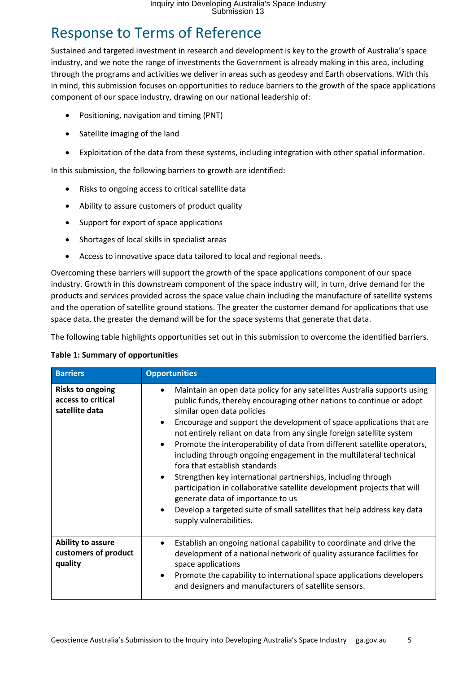## <span id="page-4-0"></span>Response to Terms of Reference

Sustained and targeted investment in research and development is key to the growth of Australia's space industry, and we note the range of investments the Government is already making in this area, including through the programs and activities we deliver in areas such as geodesy and Earth observations. With this in mind, this submission focuses on opportunities to reduce barriers to the growth of the space applications component of our space industry, drawing on our national leadership of:

- Positioning, navigation and timing (PNT)
- Satellite imaging of the land
- Exploitation of the data from these systems, including integration with other spatial information.

In this submission, the following barriers to growth are identified:

- Risks to ongoing access to critical satellite data
- Ability to assure customers of product quality
- Support for export of space applications
- Shortages of local skills in specialist areas
- Access to innovative space data tailored to local and regional needs.

Overcoming these barriers will support the growth of the space applications component of our space industry. Growth in this downstream component of the space industry will, in turn, drive demand for the products and services provided across the space value chain including the manufacture of satellite systems and the operation of satellite ground stations. The greater the customer demand for applications that use space data, the greater the demand will be for the space systems that generate that data.

The following table highlights opportunities set out in this submission to overcome the identified barriers.

| <b>Barriers</b>                                                 | <b>Opportunities</b>                                                                                                                                                                                                                                                                                                                                                                                                                                                                                                                                                                                                                                                                                                                                                                                                               |
|-----------------------------------------------------------------|------------------------------------------------------------------------------------------------------------------------------------------------------------------------------------------------------------------------------------------------------------------------------------------------------------------------------------------------------------------------------------------------------------------------------------------------------------------------------------------------------------------------------------------------------------------------------------------------------------------------------------------------------------------------------------------------------------------------------------------------------------------------------------------------------------------------------------|
| <b>Risks to ongoing</b><br>access to critical<br>satellite data | Maintain an open data policy for any satellites Australia supports using<br>public funds, thereby encouraging other nations to continue or adopt<br>similar open data policies<br>Encourage and support the development of space applications that are<br>$\bullet$<br>not entirely reliant on data from any single foreign satellite system<br>Promote the interoperability of data from different satellite operators,<br>$\bullet$<br>including through ongoing engagement in the multilateral technical<br>fora that establish standards<br>Strengthen key international partnerships, including through<br>participation in collaborative satellite development projects that will<br>generate data of importance to us<br>Develop a targeted suite of small satellites that help address key data<br>supply vulnerabilities. |
| Ability to assure<br>customers of product<br>quality            | Establish an ongoing national capability to coordinate and drive the<br>development of a national network of quality assurance facilities for<br>space applications<br>Promote the capability to international space applications developers<br>and designers and manufacturers of satellite sensors.                                                                                                                                                                                                                                                                                                                                                                                                                                                                                                                              |

#### **Table 1: Summary of opportunities**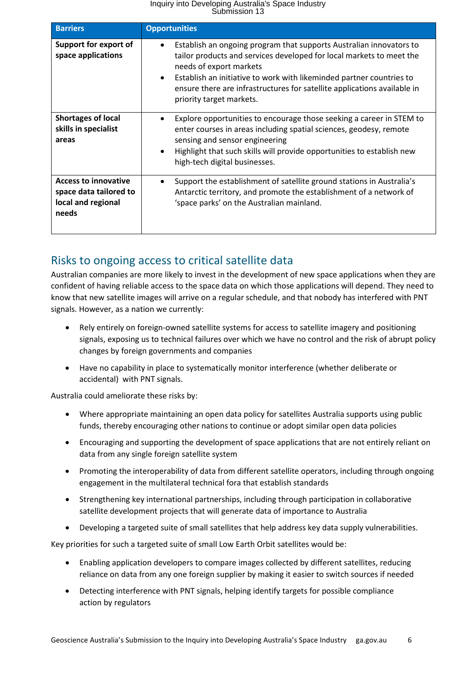| <b>Barriers</b>                                                                      | <b>Opportunities</b>                                                                                                                                                                                                                                                                                                                                                     |
|--------------------------------------------------------------------------------------|--------------------------------------------------------------------------------------------------------------------------------------------------------------------------------------------------------------------------------------------------------------------------------------------------------------------------------------------------------------------------|
| <b>Support for export of</b><br>space applications                                   | Establish an ongoing program that supports Australian innovators to<br>٠<br>tailor products and services developed for local markets to meet the<br>needs of export markets<br>Establish an initiative to work with likeminded partner countries to<br>$\bullet$<br>ensure there are infrastructures for satellite applications available in<br>priority target markets. |
| <b>Shortages of local</b><br>skills in specialist<br>areas                           | Explore opportunities to encourage those seeking a career in STEM to<br>enter courses in areas including spatial sciences, geodesy, remote<br>sensing and sensor engineering<br>Highlight that such skills will provide opportunities to establish new<br>$\bullet$<br>high-tech digital businesses.                                                                     |
| <b>Access to innovative</b><br>space data tailored to<br>local and regional<br>needs | Support the establishment of satellite ground stations in Australia's<br>Antarctic territory, and promote the establishment of a network of<br>'space parks' on the Australian mainland.                                                                                                                                                                                 |

#### <span id="page-5-0"></span>Risks to ongoing access to critical satellite data

Australian companies are more likely to invest in the development of new space applications when they are confident of having reliable access to the space data on which those applications will depend. They need to know that new satellite images will arrive on a regular schedule, and that nobody has interfered with PNT signals. However, as a nation we currently:

- Rely entirely on foreign-owned satellite systems for access to satellite imagery and positioning signals, exposing us to technical failures over which we have no control and the risk of abrupt policy changes by foreign governments and companies
- Have no capability in place to systematically monitor interference (whether deliberate or accidental)  with PNT signals.

Australia could ameliorate these risks by:

- Where appropriate maintaining an open data policy for satellites Australia supports using public funds, thereby encouraging other nations to continue or adopt similar open data policies
- Encouraging and supporting the development of space applications that are not entirely reliant on data from any single foreign satellite system
- Promoting the interoperability of data from different satellite operators, including through ongoing engagement in the multilateral technical fora that establish standards
- Strengthening key international partnerships, including through participation in collaborative satellite development projects that will generate data of importance to Australia
- Developing a targeted suite of small satellites that help address key data supply vulnerabilities.

Key priorities for such a targeted suite of small Low Earth Orbit satellites would be:

- Enabling application developers to compare images collected by different satellites, reducing reliance on data from any one foreign supplier by making it easier to switch sources if needed
- Detecting interference with PNT signals, helping identify targets for possible compliance action by regulators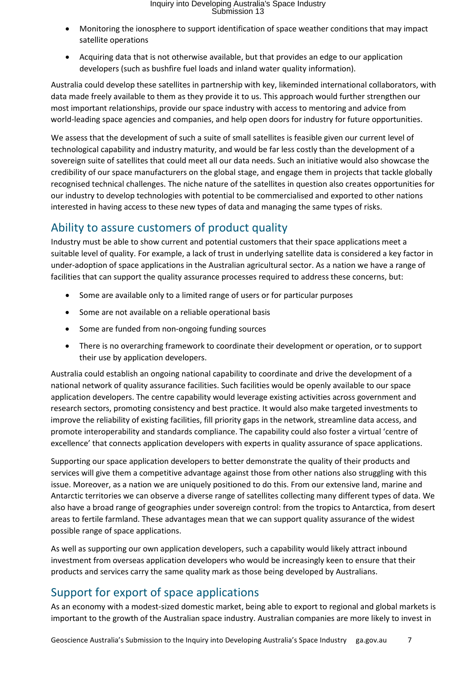- Monitoring the ionosphere to support identification of space weather conditions that may impact satellite operations
- Acquiring data that is not otherwise available, but that provides an edge to our application developers (such as bushfire fuel loads and inland water quality information).

Australia could develop these satellites in partnership with key, likeminded international collaborators, with data made freely available to them as they provide it to us. This approach would further strengthen our most important relationships, provide our space industry with access to mentoring and advice from world-leading space agencies and companies, and help open doors for industry for future opportunities.

We assess that the development of such a suite of small satellites is feasible given our current level of technological capability and industry maturity, and would be far less costly than the development of a sovereign suite of satellites that could meet all our data needs. Such an initiative would also showcase the credibility of our space manufacturers on the global stage, and engage them in projects that tackle globally recognised technical challenges. The niche nature of the satellites in question also creates opportunities for our industry to develop technologies with potential to be commercialised and exported to other nations interested in having access to these new types of data and managing the same types of risks.

#### <span id="page-6-0"></span>Ability to assure customers of product quality

Industry must be able to show current and potential customers that their space applications meet a suitable level of quality. For example, a lack of trust in underlying satellite data is considered a key factor in under-adoption of space applications in the Australian agricultural sector. As a nation we have a range of facilities that can support the quality assurance processes required to address these concerns, but:

- Some are available only to a limited range of users or for particular purposes
- Some are not available on a reliable operational basis
- Some are funded from non-ongoing funding sources
- There is no overarching framework to coordinate their development or operation, or to support their use by application developers.

Australia could establish an ongoing national capability to coordinate and drive the development of a national network of quality assurance facilities. Such facilities would be openly available to our space application developers. The centre capability would leverage existing activities across government and research sectors, promoting consistency and best practice. It would also make targeted investments to improve the reliability of existing facilities, fill priority gaps in the network, streamline data access, and promote interoperability and standards compliance. The capability could also foster a virtual 'centre of excellence' that connects application developers with experts in quality assurance of space applications.

Supporting our space application developers to better demonstrate the quality of their products and services will give them a competitive advantage against those from other nations also struggling with this issue. Moreover, as a nation we are uniquely positioned to do this. From our extensive land, marine and Antarctic territories we can observe a diverse range of satellites collecting many different types of data. We also have a broad range of geographies under sovereign control: from the tropics to Antarctica, from desert areas to fertile farmland. These advantages mean that we can support quality assurance of the widest possible range of space applications.

As well as supporting our own application developers, such a capability would likely attract inbound investment from overseas application developers who would be increasingly keen to ensure that their products and services carry the same quality mark as those being developed by Australians.

#### <span id="page-6-1"></span>Support for export of space applications

As an economy with a modest-sized domestic market, being able to export to regional and global markets is important to the growth of the Australian space industry. Australian companies are more likely to invest in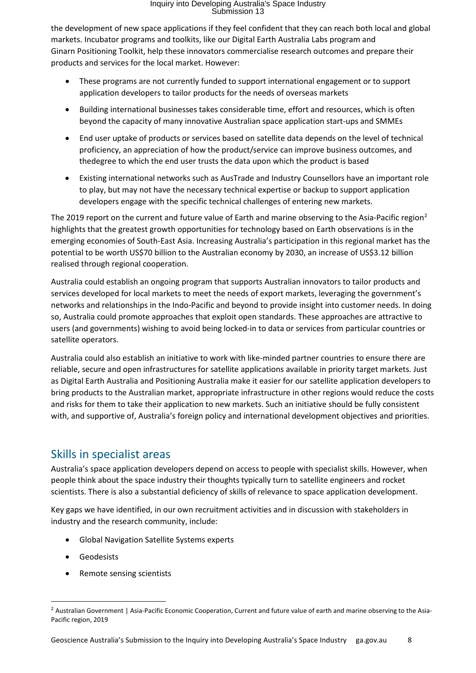the development of new space applications if they feel confident that they can reach both local and global markets. Incubator programs and toolkits, like our Digital Earth Australia Labs program and Ginarn Positioning Toolkit, help these innovators commercialise research outcomes and prepare their products and services for the local market. However:

- These programs are not currently funded to support international engagement or to support application developers to tailor products for the needs of overseas markets
- Building international businesses takes considerable time, effort and resources, which is often beyond the capacity of many innovative Australian space application start-ups and SMMEs
- End user uptake of products or services based on satellite data depends on the level of technical proficiency, an appreciation of how the product/service can improve business outcomes, and thedegree to which the end user trusts the data upon which the product is based
- Existing international networks such as AusTrade and Industry Counsellors have an important role to play, but may not have the necessary technical expertise or backup to support application developers engage with the specific technical challenges of entering new markets.

The [2](#page-7-1)019 report on the current and future value of Earth and marine observing to the Asia-Pacific region<sup>2</sup> highlights that the greatest growth opportunities for technology based on Earth observations is in the emerging economies of South-East Asia. Increasing Australia's participation in this regional market has the potential to be worth US\$70 billion to the Australian economy by 2030, an increase of US\$3.12 billion realised through regional cooperation.

Australia could establish an ongoing program that supports Australian innovators to tailor products and services developed for local markets to meet the needs of export markets, leveraging the government's networks and relationships in the Indo-Pacific and beyond to provide insight into customer needs. In doing so, Australia could promote approaches that exploit open standards. These approaches are attractive to users (and governments) wishing to avoid being locked-in to data or services from particular countries or satellite operators.

Australia could also establish an initiative to work with like-minded partner countries to ensure there are reliable, secure and open infrastructures for satellite applications available in priority target markets. Just as Digital Earth Australia and Positioning Australia make it easier for our satellite application developers to bring products to the Australian market, appropriate infrastructure in other regions would reduce the costs and risks for them to take their application to new markets. Such an initiative should be fully consistent with, and supportive of, Australia's foreign policy and international development objectives and priorities.

#### <span id="page-7-0"></span>Skills in specialist areas

Australia's space application developers depend on access to people with specialist skills. However, when people think about the space industry their thoughts typically turn to satellite engineers and rocket scientists. There is also a substantial deficiency of skills of relevance to space application development.

Key gaps we have identified, in our own recruitment activities and in discussion with stakeholders in industry and the research community, include:

- Global Navigation Satellite Systems experts
- Geodesists
- Remote sensing scientists

<span id="page-7-1"></span> $<sup>2</sup>$  Australian Government | Asia-Pacific Economic Cooperation, Current and future value of earth and marine observing to the Asia-</sup> Pacific region, 2019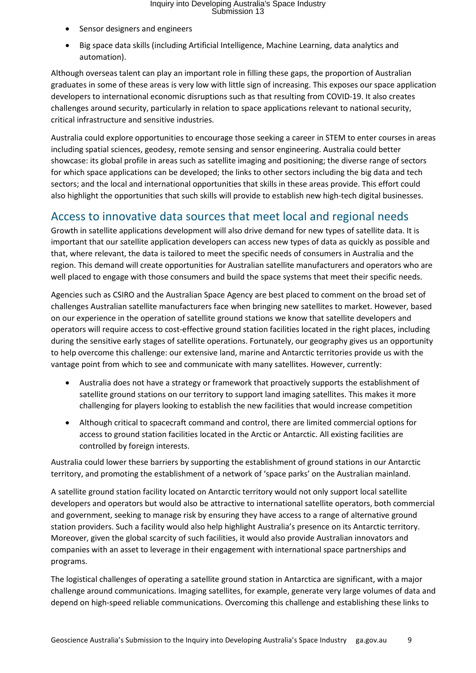- Sensor designers and engineers
- Big space data skills (including Artificial Intelligence, Machine Learning, data analytics and automation).

Although overseas talent can play an important role in filling these gaps, the proportion of Australian graduates in some of these areas is very low with little sign of increasing. This exposes our space application developers to international economic disruptions such as that resulting from COVID-19. It also creates challenges around security, particularly in relation to space applications relevant to national security, critical infrastructure and sensitive industries.

Australia could explore opportunities to encourage those seeking a career in STEM to enter courses in areas including spatial sciences, geodesy, remote sensing and sensor engineering. Australia could better showcase: its global profile in areas such as satellite imaging and positioning; the diverse range of sectors for which space applications can be developed; the links to other sectors including the big data and tech sectors; and the local and international opportunities that skills in these areas provide. This effort could also highlight the opportunities that such skills will provide to establish new high-tech digital businesses.

#### <span id="page-8-0"></span>Access to innovative data sources that meet local and regional needs

Growth in satellite applications development will also drive demand for new types of satellite data. It is important that our satellite application developers can access new types of data as quickly as possible and that, where relevant, the data is tailored to meet the specific needs of consumers in Australia and the region. This demand will create opportunities for Australian satellite manufacturers and operators who are well placed to engage with those consumers and build the space systems that meet their specific needs.

Agencies such as CSIRO and the Australian Space Agency are best placed to comment on the broad set of challenges Australian satellite manufacturers face when bringing new satellites to market. However, based on our experience in the operation of satellite ground stations we know that satellite developers and operators will require access to cost-effective ground station facilities located in the right places, including during the sensitive early stages of satellite operations. Fortunately, our geography gives us an opportunity to help overcome this challenge: our extensive land, marine and Antarctic territories provide us with the vantage point from which to see and communicate with many satellites. However, currently:

- Australia does not have a strategy or framework that proactively supports the establishment of satellite ground stations on our territory to support land imaging satellites. This makes it more challenging for players looking to establish the new facilities that would increase competition
- Although critical to spacecraft command and control, there are limited commercial options for access to ground station facilities located in the Arctic or Antarctic. All existing facilities are controlled by foreign interests.

Australia could lower these barriers by supporting the establishment of ground stations in our Antarctic territory, and promoting the establishment of a network of 'space parks' on the Australian mainland.

A satellite ground station facility located on Antarctic territory would not only support local satellite developers and operators but would also be attractive to international satellite operators, both commercial and government, seeking to manage risk by ensuring they have access to a range of alternative ground station providers. Such a facility would also help highlight Australia's presence on its Antarctic territory. Moreover, given the global scarcity of such facilities, it would also provide Australian innovators and companies with an asset to leverage in their engagement with international space partnerships and programs.

The logistical challenges of operating a satellite ground station in Antarctica are significant, with a major challenge around communications. Imaging satellites, for example, generate very large volumes of data and depend on high-speed reliable communications. Overcoming this challenge and establishing these links to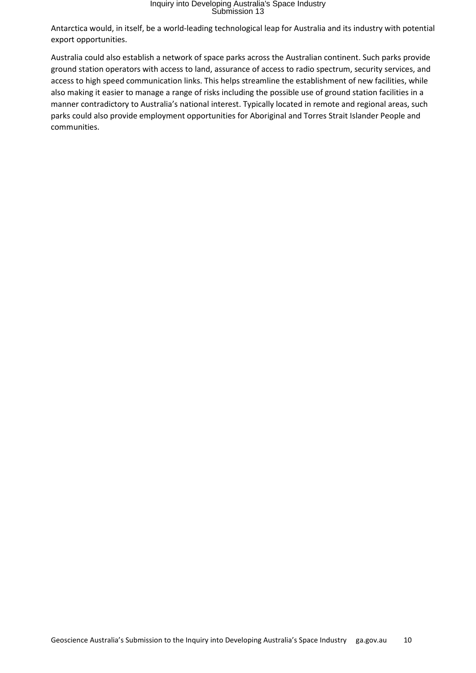Antarctica would, in itself, be a world-leading technological leap for Australia and its industry with potential export opportunities.

Australia could also establish a network of space parks across the Australian continent. Such parks provide ground station operators with access to land, assurance of access to radio spectrum, security services, and access to high speed communication links. This helps streamline the establishment of new facilities, while also making it easier to manage a range of risks including the possible use of ground station facilities in a manner contradictory to Australia's national interest. Typically located in remote and regional areas, such parks could also provide employment opportunities for Aboriginal and Torres Strait Islander People and communities.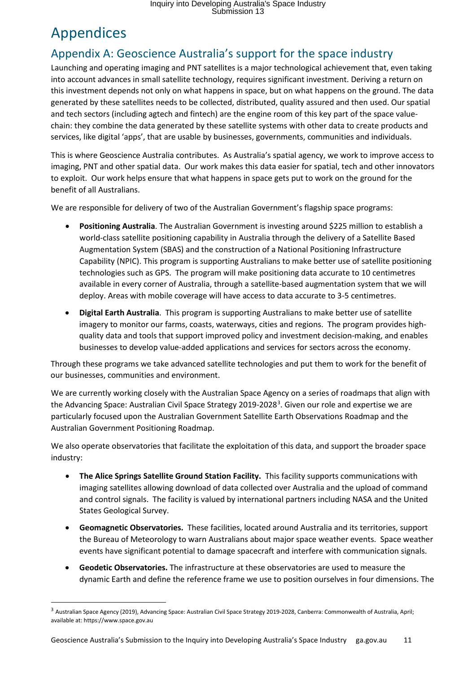## <span id="page-10-0"></span>Appendices

#### <span id="page-10-1"></span>Appendix A: Geoscience Australia's support for the space industry

Launching and operating imaging and PNT satellites is a major technological achievement that, even taking into account advances in small satellite technology, requires significant investment. Deriving a return on this investment depends not only on what happens in space, but on what happens on the ground. The data generated by these satellites needs to be collected, distributed, quality assured and then used. Our spatial and tech sectors (including agtech and fintech) are the engine room of this key part of the space valuechain: they combine the data generated by these satellite systems with other data to create products and services, like digital 'apps', that are usable by businesses, governments, communities and individuals.

This is where Geoscience Australia contributes.  As Australia's spatial agency, we work to improve access to imaging, PNT and other spatial data.  Our work makes this data easier for spatial, tech and other innovators to exploit.  Our work helps ensure that what happens in space gets put to work on the ground for the benefit of all Australians.  

We are responsible for delivery of two of the Australian Government's flagship space programs: 

- **Positioning Australia**. The Australian Government is investing around \$225 million to establish a world-class satellite positioning capability in Australia through the delivery of a Satellite Based Augmentation System (SBAS) and the construction of a National Positioning Infrastructure Capability (NPIC). This program is supporting Australians to make better use of satellite positioning technologies such as GPS.  The program will make positioning data accurate to 10 centimetres available in every corner of Australia, through a satellite-based augmentation system that we will deploy. Areas with mobile coverage will have access to data accurate to 3-5 centimetres.
- **Digital Earth Australia**. This program is supporting Australians to make better use of satellite imagery to monitor our farms, coasts, waterways, cities and regions.  The program provides highquality data and tools that support improved policy and investment decision-making, and enables businesses to develop value-added applications and services for sectors across the economy.

Through these programs we take advanced satellite technologies and put them to work for the benefit of our businesses, communities and environment. 

We are currently working closely with the Australian Space Agency on a series of roadmaps that align with the Advancing Space: Australian Civil Space Strategy 2019-2028<sup>[3](#page-10-2)</sup>. Given our role and expertise we are particularly focused upon the Australian Government Satellite Earth Observations Roadmap and the Australian Government Positioning Roadmap. 

We also operate observatories that facilitate the exploitation of this data, and support the broader space industry: 

- **The Alice Springs Satellite Ground Station Facility.** This facility supports communications with imaging satellites allowing download of data collected over Australia and the upload of command and control signals.  The facility is valued by international partners including NASA and the United States Geological Survey.
- **Geomagnetic Observatories.** These facilities, located around Australia and its territories, support the Bureau of Meteorology to warn Australians about major space weather events.  Space weather events have significant potential to damage spacecraft and interfere with communication signals.
- **Geodetic Observatories.** The infrastructure at these observatories are used to measure the dynamic Earth and define the reference frame we use to position ourselves in four dimensions. The

<span id="page-10-2"></span><sup>&</sup>lt;sup>3</sup> Australian Space Agency (2019), Advancing Space: Australian Civil Space Strategy 2019-2028, Canberra: Commonwealth of Australia, April; available at: https://www.space.gov.au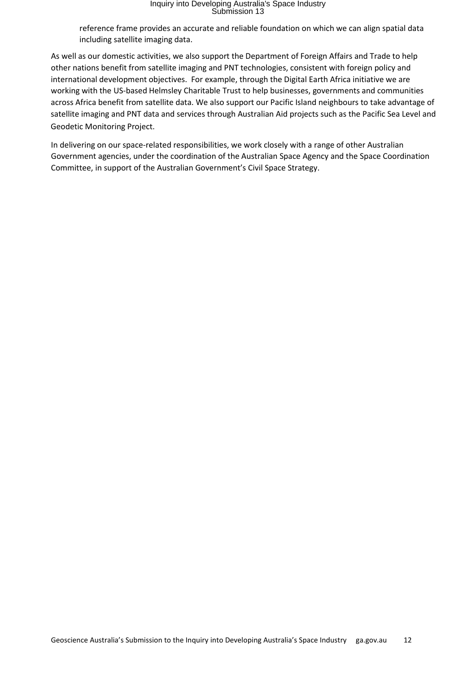reference frame provides an accurate and reliable foundation on which we can align spatial data including satellite imaging data. 

As well as our domestic activities, we also support the Department of Foreign Affairs and Trade to help other nations benefit from satellite imaging and PNT technologies, consistent with foreign policy and international development objectives.  For example, through the Digital Earth Africa initiative we are working with the US-based Helmsley Charitable Trust to help businesses, governments and communities across Africa benefit from satellite data. We also support our Pacific Island neighbours to take advantage of satellite imaging and PNT data and services through Australian Aid projects such as the Pacific Sea Level and Geodetic Monitoring Project.

In delivering on our space-related responsibilities, we work closely with a range of other Australian Government agencies, under the coordination of the Australian Space Agency and the Space Coordination Committee, in support of the Australian Government's Civil Space Strategy.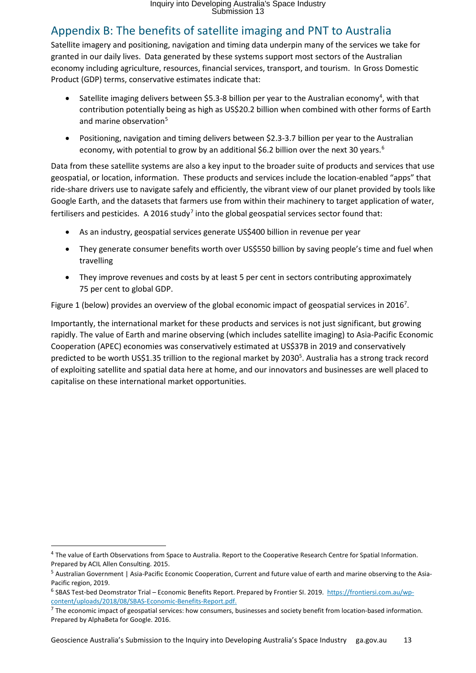#### <span id="page-12-0"></span>Appendix B: The benefits of satellite imaging and PNT to Australia

Satellite imagery and positioning, navigation and timing data underpin many of the services we take for granted in our daily lives.  Data generated by these systems support most sectors of the Australian economy including agriculture, resources, financial services, transport, and tourism.  In Gross Domestic Product (GDP) terms, conservative estimates indicate that: 

- Satellite imaging delivers between \$5.3-8 billion per year to the Australian economy<sup>[4](#page-12-1)</sup>, with that contribution potentially being as high as US\$20.2 billion when combined with other forms of Earth and marine observation<sup>[5](#page-12-2)</sup>
- Positioning, navigation and timing delivers between \$2.3-3.7 billion per year to the Australian economy, with potential to grow by an additional \$[6](#page-12-3).2 billion over the next 30 years.<sup>6</sup>

Data from these satellite systems are also a key input to the broader suite of products and services that use geospatial, or location, information.  These products and services include the location-enabled "apps" that ride-share drivers use to navigate safely and efficiently, the vibrant view of our planet provided by tools like Google Earth, and the datasets that farmers use from within their machinery to target application of water, fertilisers and pesticides. A 2016 study<sup>[7](#page-12-4)</sup> into the global geospatial services sector found that:

- As an industry, geospatial services generate US\$400 billion in revenue per year
- They generate consumer benefits worth over US\$550 billion by saving people's time and fuel when travelling
- They improve revenues and costs by at least 5 per cent in sectors contributing approximately 75 per cent to global GDP.

Figure 1 (below) provides an overview of the global economic impact of geospatial services in 2016<sup>7</sup>.

Importantly, the international market for these products and services is not just significant, but growing rapidly. The value of Earth and marine observing (which includes satellite imaging) to Asia-Pacific Economic Cooperation (APEC) economies was conservatively estimated at US\$37B in 2019 and conservatively predicted to be worth US\$1.35 trillion to the regional market by 2030<sup>5</sup>. Australia has a strong track record of exploiting satellite and spatial data here at home, and our innovators and businesses are well placed to capitalise on these international market opportunities.

<span id="page-12-1"></span><sup>&</sup>lt;sup>4</sup> The value of Earth Observations from Space to Australia. Report to the Cooperative Research Centre for Spatial Information. Prepared by ACIL Allen Consulting. 2015.

<span id="page-12-2"></span><sup>&</sup>lt;sup>5</sup> Australian Government | Asia-Pacific Economic Cooperation, Current and future value of earth and marine observing to the Asia-Pacific region, 2019.

<span id="page-12-3"></span> $6$  SBAS Test-bed Deomstrator Trial – Economic Benefits Report. Prepared by Frontier SI. 2019. [https://frontiersi.com.au/wp](https://frontiersi.com.au/wp-content/uploads/2018/08/SBAS-Economic-Benefits-Report.pdf)[content/uploads/2018/08/SBAS-Economic-Benefits-Report.pdf.](https://frontiersi.com.au/wp-content/uploads/2018/08/SBAS-Economic-Benefits-Report.pdf)

<span id="page-12-4"></span> $^7$  The economic impact of geospatial services: how consumers, businesses and society benefit from location-based information. Prepared by AlphaBeta for Google. 2016.